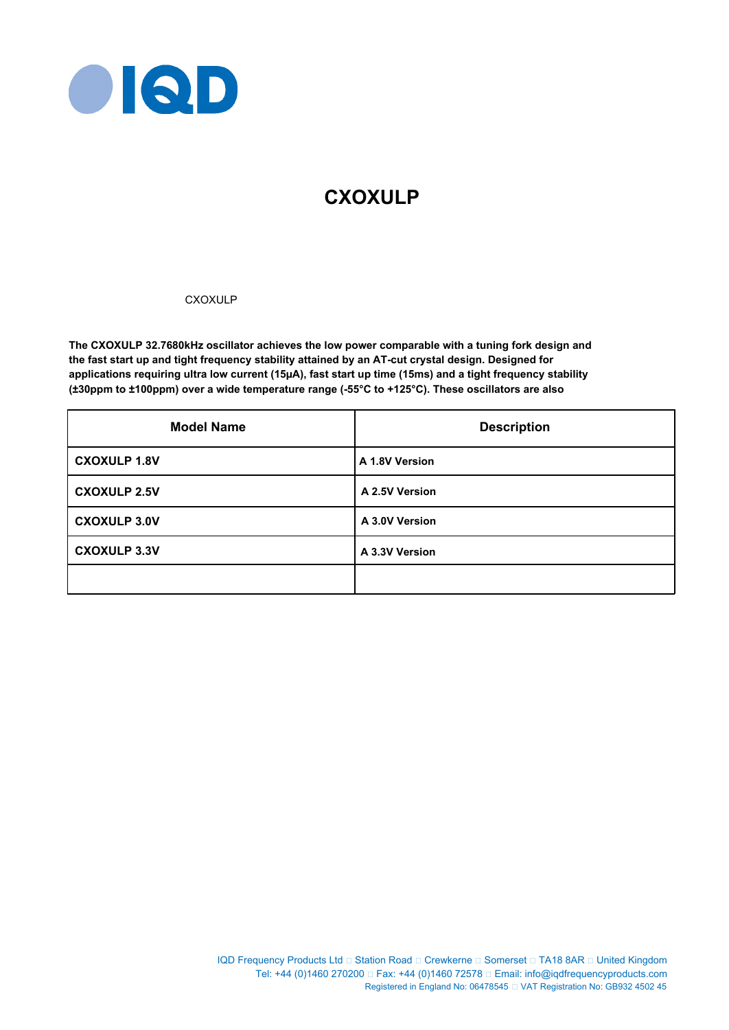

# **CXOXULP**

# CXOXULP

**The CXOXULP 32.7680kHz oscillator achieves the low power comparable with a tuning fork design and the fast start up and tight frequency stability attained by an AT-cut crystal design. Designed for applications requiring ultra low current (15µA), fast start up time (15ms) and a tight frequency stability (±30ppm to ±100ppm) over a wide temperature range (-55°C to +125°C). These oscillators are also** 

| <b>Model Name</b>   | <b>Description</b> |
|---------------------|--------------------|
| <b>CXOXULP 1.8V</b> | A 1.8V Version     |
| <b>CXOXULP 2.5V</b> | A 2.5V Version     |
| <b>CXOXULP 3.0V</b> | A 3.0V Version     |
| <b>CXOXULP 3.3V</b> | A 3.3V Version     |
|                     |                    |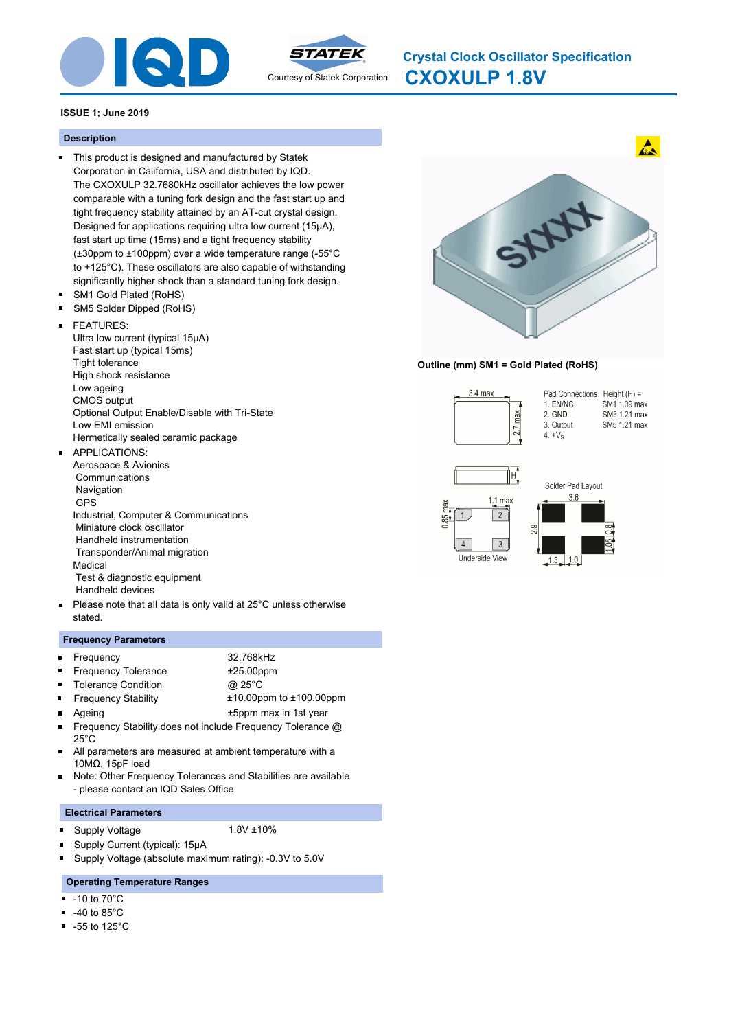



**CXOXULP 1.8V Crystal Clock Oscillator Specification**

# **ISSUE 1; June 2019**

# **Description**

- This product is designed and manufactured by Statek Corporation in California, USA and distributed by IQD. The CXOXULP 32.7680kHz oscillator achieves the low power comparable with a tuning fork design and the fast start up and tight frequency stability attained by an AT-cut crystal design. Designed for applications requiring ultra low current (15µA), fast start up time (15ms) and a tight frequency stability (±30ppm to ±100ppm) over a wide temperature range (-55°C to +125°C). These oscillators are also capable of withstanding significantly higher shock than a standard tuning fork design.
- SM1 Gold Plated (RoHS)  $\blacksquare$
- $\blacksquare$ SM5 Solder Dipped (RoHS)

#### FEATURES:  $\blacksquare$

Ultra low current (typical 15μA) Fast start up (typical 15ms) Tight tolerance High shock resistance Low ageing CMOS output Optional Output Enable/Disable with Tri-State Low EMI emission Hermetically sealed ceramic package

#### APPLICATIONS:  $\blacksquare$

- Aerospace & Avionics **Communications**  Navigation GPS Industrial, Computer & Communications Miniature clock oscillator Handheld instrumentation Transponder/Animal migration Medical Test & diagnostic equipment Handheld devices
- Please note that all data is only valid at 25°C unless otherwise  $\blacksquare$ stated.

# **Frequency Parameters**

| <b>Exequency</b>      | 32.768kHz    |
|-----------------------|--------------|
| ■ Frequency Tolerance | $±25.00$ ppm |
| • Tolerance Condition | @ 25°C       |

- Frequency Stability ±10.00ppm to ±100.00ppm  $\blacksquare$
- Ageing the top of the top of the top of the top of the top of the top of the top of the top of the top of the top of the top of the top of the top of the top of the top of the top of the top of the top of the top of the to
- Frequency Stability does not include Frequency Tolerance @  $\blacksquare$ 25°C
- $\blacksquare$ All parameters are measured at ambient temperature with a 10MΩ, 15pF load
- Note: Other Frequency Tolerances and Stabilities are available  $\blacksquare$ - please contact an IQD Sales Office

### **Electrical Parameters**

- Supply Voltage 1.8V ±10% n,
	-
- n Supply Current (typical): 15μA n, Supply Voltage (absolute maximum rating): -0.3V to 5.0V

# **Operating Temperature Ranges**

- -10 to 70°C  $\blacksquare$
- -40 to 85°C
- $\blacksquare$ -55 to 125°C



# **Outline (mm) SM1 = Gold Plated (RoHS)**

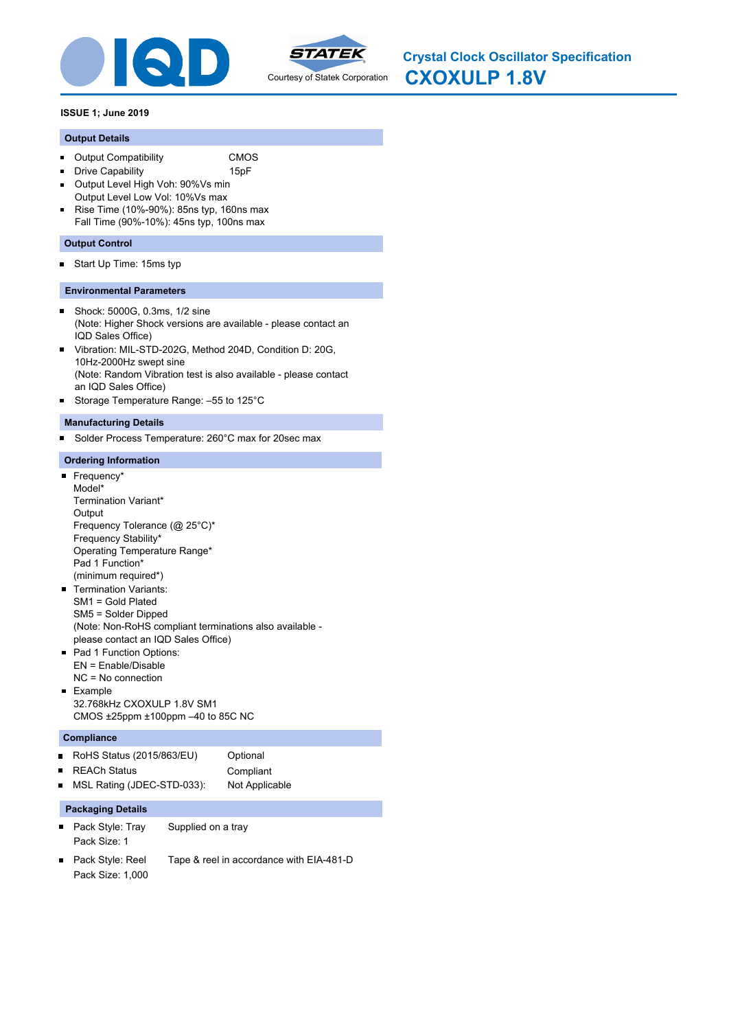



**CXOXULP 1.8V Crystal Clock Oscillator Specification**

# **ISSUE 1; June 2019**

### **Output Details**

- Output Compatibility CMOS  $\blacksquare$
- **Drive Capability** 15pF
- Output Level High Voh: 90%Vs min  $\blacksquare$
- Output Level Low Vol: 10%Vs max Rise Time (10%-90%): 85ns typ, 160ns max  $\blacksquare$ Fall Time (90%-10%): 45ns typ, 100ns max

### **Output Control**

Start Up Time: 15ms typ  $\blacksquare$ 

### **Environmental Parameters**

- Shock: 5000G, 0.3ms, 1/2 sine  $\blacksquare$ (Note: Higher Shock versions are available - please contact an IQD Sales Office)
- Vibration: MIL-STD-202G, Method 204D, Condition D: 20G,  $\blacksquare$ 10Hz-2000Hz swept sine (Note: Random Vibration test is also available - please contact an IQD Sales Office)
- Storage Temperature Range: –55 to 125°C  $\blacksquare$

### **Manufacturing Details**

Solder Process Temperature: 260°C max for 20sec max  $\blacksquare$ 

### **Ordering Information**

### Frequency\*

- Model\* Termination Variant\* **Output** Frequency Tolerance (@ 25°C)\* Frequency Stability\* Operating Temperature Range\* Pad 1 Function\* (minimum required\*)
- **Termination Variants:** SM1 = Gold Plated SM5 = Solder Dipped (Note: Non-RoHS compliant terminations also available please contact an IQD Sales Office)
- Pad 1 Function Options: EN = Enable/Disable NC = No connection
- **Example** 32.768kHz CXOXULP 1.8V SM1 CMOS ±25ppm ±100ppm –40 to 85C NC

### **Compliance**

|                | ■ RoHS Status (2015/863/EU) | Optional       |
|----------------|-----------------------------|----------------|
|                | ■ REACh Status              | Compliant      |
| $\blacksquare$ | MSL Rating (JDEC-STD-033):  | Not Applicable |

- Pack Style: Tray Supplied on a tray Pack Size: 1
- Pack Style: Reel Tape & reel in accordance with EIA-481-D  $\blacksquare$ Pack Size: 1,000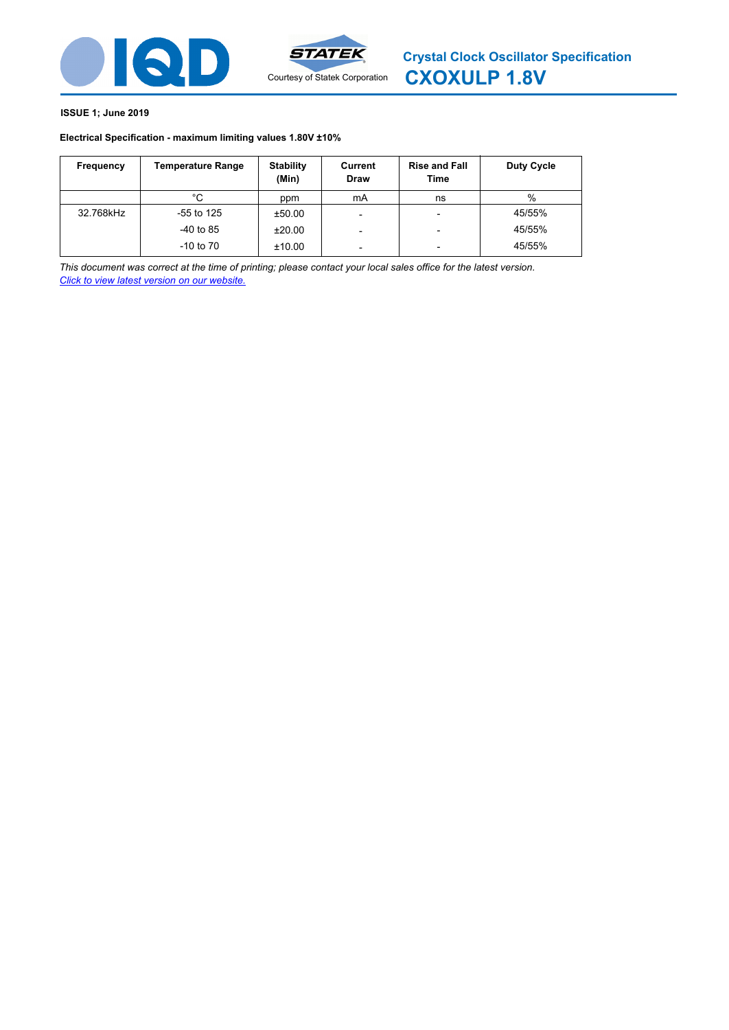



# **Electrical Specification - maximum limiting values 1.80V ±10%**

| Frequency | <b>Temperature Range</b> | <b>Stability</b><br>(Min) | Current<br><b>Draw</b>   | <b>Rise and Fall</b><br>Time | Duty Cycle |
|-----------|--------------------------|---------------------------|--------------------------|------------------------------|------------|
|           | °C                       | ppm                       | mA                       | ns                           | %          |
| 32.768kHz | $-55$ to 125             | ±50.00                    | $\overline{\phantom{0}}$ |                              | 45/55%     |
|           | $-40$ to 85              | ±20.00                    |                          | $\overline{\phantom{0}}$     | 45/55%     |
|           | $-10$ to $70$            | ±10.00                    | -                        |                              | 45/55%     |

*This document was correct at the time of printing; please contact your local sales office for the latest version. Click to view latest version on our website.*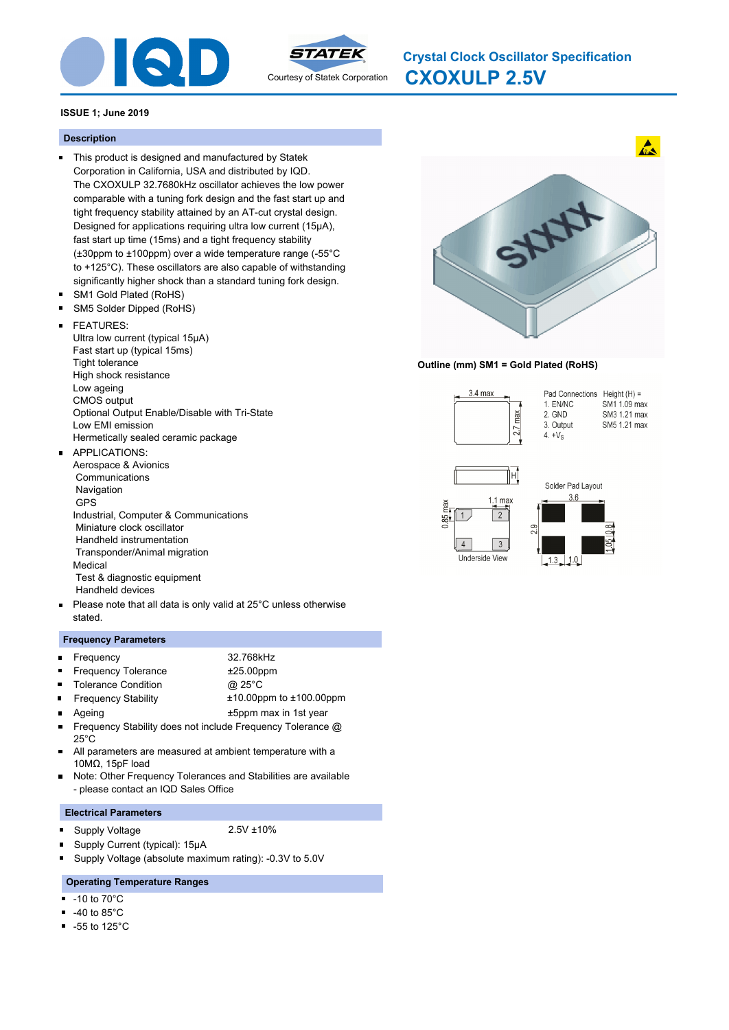



**CXOXULP 2.5V Crystal Clock Oscillator Specification**

# **ISSUE 1; June 2019**

# **Description**

- This product is designed and manufactured by Statek Corporation in California, USA and distributed by IQD. The CXOXULP 32.7680kHz oscillator achieves the low power comparable with a tuning fork design and the fast start up and tight frequency stability attained by an AT-cut crystal design. Designed for applications requiring ultra low current (15µA), fast start up time (15ms) and a tight frequency stability (±30ppm to ±100ppm) over a wide temperature range (-55°C to +125°C). These oscillators are also capable of withstanding significantly higher shock than a standard tuning fork design.
- SM1 Gold Plated (RoHS)  $\blacksquare$
- $\blacksquare$ SM5 Solder Dipped (RoHS)

#### FEATURES:  $\blacksquare$

Ultra low current (typical 15μA) Fast start up (typical 15ms) Tight tolerance High shock resistance Low ageing CMOS output Optional Output Enable/Disable with Tri-State Low EMI emission Hermetically sealed ceramic package

#### APPLICATIONS:  $\blacksquare$

- Aerospace & Avionics **Communications**  Navigation GPS Industrial, Computer & Communications Miniature clock oscillator Handheld instrumentation Transponder/Animal migration Medical Test & diagnostic equipment Handheld devices
- Please note that all data is only valid at 25°C unless otherwise  $\blacksquare$ stated.

### **Frequency Parameters**

| <b>E</b> Frequency         | 32.768kHz    |
|----------------------------|--------------|
| <b>Frequency Tolerance</b> | $±25.00$ ppm |
| ■ Tolerance Condition      | @ 25°C       |

- Frequency Stability ±10.00ppm to ±100.00ppm  $\blacksquare$
- Ageing the top of the top of the top of the top of the top of the top of the top of the top of the top of the top of the top of the top of the top of the top of the top of the top of the top of the top of the top of the to
- Frequency Stability does not include Frequency Tolerance @  $\blacksquare$ 25°C
- $\blacksquare$ All parameters are measured at ambient temperature with a 10MΩ, 15pF load
- Note: Other Frequency Tolerances and Stabilities are available  $\blacksquare$ - please contact an IQD Sales Office

### **Electrical Parameters**

Supply Voltage 2.5V ±10% n,

n

- 
- Supply Current (typical): 15μA
- n, Supply Voltage (absolute maximum rating): -0.3V to 5.0V

# **Operating Temperature Ranges**

- -10 to 70°C  $\blacksquare$
- -40 to 85°C
- $\blacksquare$ -55 to 125°C



### **Outline (mm) SM1 = Gold Plated (RoHS)**



 $1.0$ 

Underside View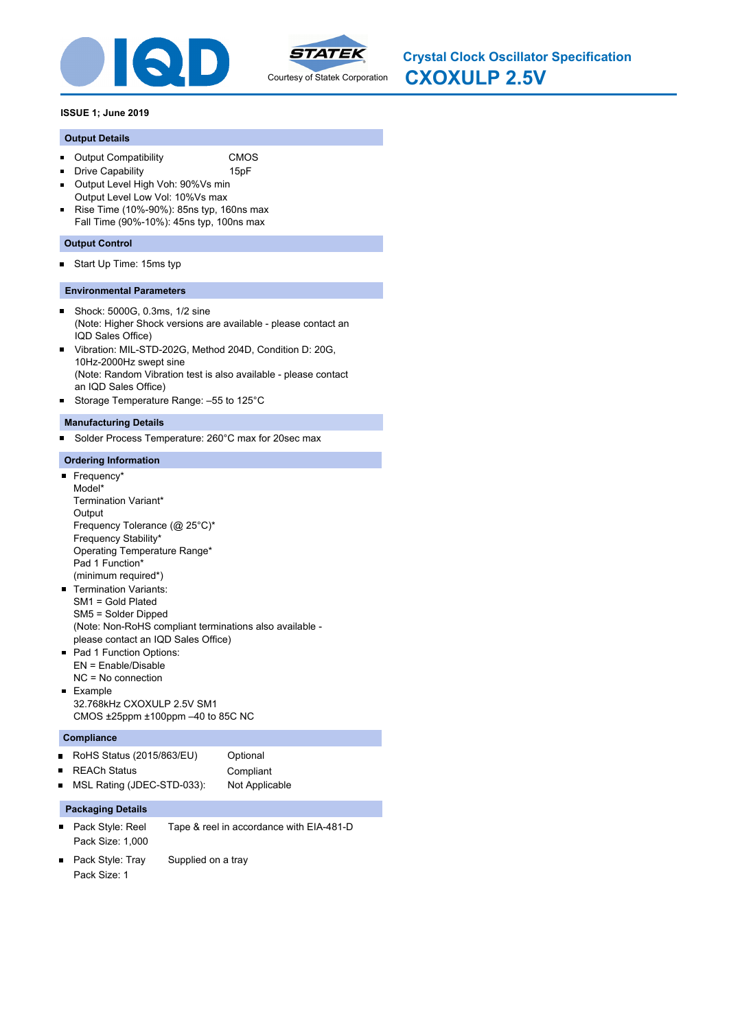



**CXOXULP 2.5V Crystal Clock Oscillator Specification**

### **ISSUE 1; June 2019**

### **Output Details**

- Output Compatibility CMOS  $\blacksquare$
- **Drive Capability** 15pF
- Output Level High Voh: 90%Vs min  $\blacksquare$
- Output Level Low Vol: 10%Vs max Rise Time (10%-90%): 85ns typ, 160ns max  $\blacksquare$ Fall Time (90%-10%): 45ns typ, 100ns max

### **Output Control**

Start Up Time: 15ms typ  $\blacksquare$ 

### **Environmental Parameters**

- Shock: 5000G, 0.3ms, 1/2 sine  $\blacksquare$ (Note: Higher Shock versions are available - please contact an IQD Sales Office)
- Vibration: MIL-STD-202G, Method 204D, Condition D: 20G,  $\blacksquare$ 10Hz-2000Hz swept sine (Note: Random Vibration test is also available - please contact an IQD Sales Office)
- Storage Temperature Range: –55 to 125°C  $\blacksquare$

### **Manufacturing Details**

Solder Process Temperature: 260°C max for 20sec max  $\blacksquare$ 

### **Ordering Information**

### Frequency\*

- Model\* Termination Variant\* **Output** Frequency Tolerance (@ 25°C)\* Frequency Stability\* Operating Temperature Range\* Pad 1 Function\* (minimum required\*)
- **Termination Variants:** SM1 = Gold Plated SM5 = Solder Dipped (Note: Non-RoHS compliant terminations also available please contact an IQD Sales Office)
- Pad 1 Function Options: EN = Enable/Disable NC = No connection
- **Example** 32.768kHz CXOXULP 2.5V SM1 CMOS ±25ppm ±100ppm –40 to 85C NC

### **Compliance**

| ■ RoHS Status (2015/863/EU)  | Optional       |
|------------------------------|----------------|
| ■ REACh Status               | Compliant      |
| ■ MSL Rating (JDEC-STD-033): | Not Applicable |

- Pack Style: Reel Tape & reel in accordance with EIA-481-D Pack Size: 1,000
- Pack Style: Tray Supplied on a tray  $\blacksquare$ Pack Size: 1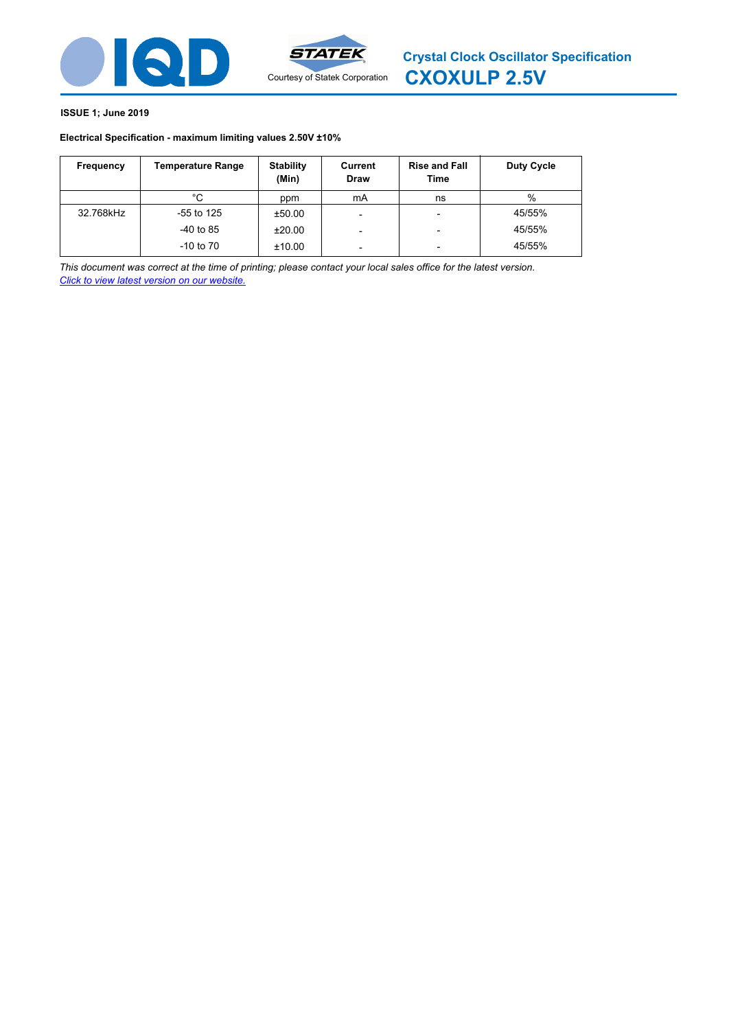



# **Electrical Specification - maximum limiting values 2.50V ±10%**

| Frequency | <b>Temperature Range</b> | <b>Stability</b><br>(Min) | Current<br><b>Draw</b>   | <b>Rise and Fall</b><br>Time | Duty Cycle |
|-----------|--------------------------|---------------------------|--------------------------|------------------------------|------------|
|           | °C                       | ppm                       | mA                       | ns                           | $\%$       |
| 32.768kHz | -55 to 125               | ±50.00                    | $\overline{\phantom{0}}$ | $\overline{\phantom{0}}$     | 45/55%     |
|           | $-40$ to 85              | ±20.00                    | $\overline{\phantom{0}}$ | $\overline{\phantom{0}}$     | 45/55%     |
|           | $-10$ to $70$            | ±10.00                    | $\overline{\phantom{0}}$ | $\overline{\phantom{0}}$     | 45/55%     |

*This document was correct at the time of printing; please contact your local sales office for the latest version. Click to view latest version on our website.*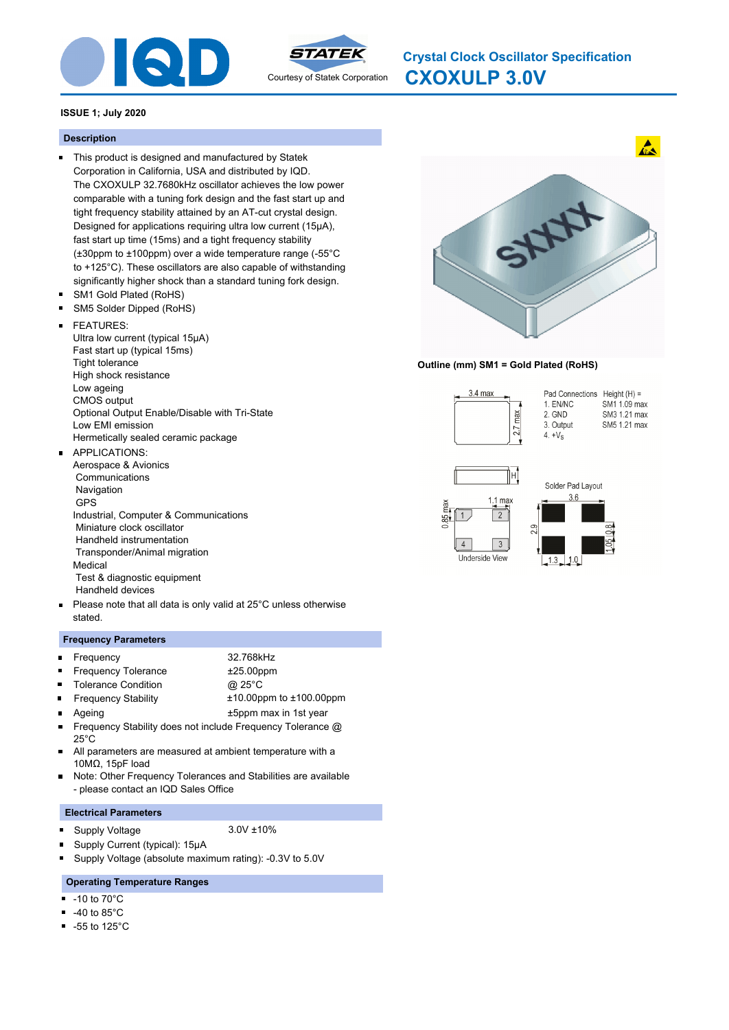



**CXOXULP 3.0V Crystal Clock Oscillator Specification**

### **ISSUE 1; July 2020**

### **Description**

- This product is designed and manufactured by Statek Corporation in California, USA and distributed by IQD. The CXOXULP 32.7680kHz oscillator achieves the low power comparable with a tuning fork design and the fast start up and tight frequency stability attained by an AT-cut crystal design. Designed for applications requiring ultra low current (15µA), fast start up time (15ms) and a tight frequency stability (±30ppm to ±100ppm) over a wide temperature range (-55°C to +125°C). These oscillators are also capable of withstanding significantly higher shock than a standard tuning fork design.
- SM1 Gold Plated (RoHS)  $\blacksquare$
- $\blacksquare$ SM5 Solder Dipped (RoHS)

#### FEATURES:  $\blacksquare$

Ultra low current (typical 15μA) Fast start up (typical 15ms) Tight tolerance High shock resistance Low ageing CMOS output Optional Output Enable/Disable with Tri-State Low EMI emission Hermetically sealed ceramic package

#### APPLICATIONS:  $\blacksquare$

- Aerospace & Avionics **Communications**  Navigation GPS Industrial, Computer & Communications Miniature clock oscillator Handheld instrumentation Transponder/Animal migration Medical Test & diagnostic equipment Handheld devices
- Please note that all data is only valid at 25°C unless otherwise  $\blacksquare$ stated.

### **Frequency Parameters**

| <b>Exercise Frequency</b>  | 32.768kHz    |  |
|----------------------------|--------------|--|
| <b>Frequency Tolerance</b> | $±25.00$ ppm |  |
| ■ Tolerance Condition      | @ 25°C       |  |

- Frequency Stability ±10.00ppm to ±100.00ppm  $\blacksquare$
- Ageing the top of the top of the top of the top of the top of the top of the top of the top of the top of the top of the top of the top of the top of the top of the top of the top of the top of the top of the top of the to
- Frequency Stability does not include Frequency Tolerance @  $\blacksquare$ 25°C
- $\blacksquare$ All parameters are measured at ambient temperature with a 10MΩ, 15pF load
- Note: Other Frequency Tolerances and Stabilities are available  $\blacksquare$ - please contact an IQD Sales Office

### **Electrical Parameters**

Supply Voltage 3.0V ±10% n,

n

- 
- Supply Current (typical): 15μA
- n, Supply Voltage (absolute maximum rating): -0.3V to 5.0V

# **Operating Temperature Ranges**

- -10 to 70°C  $\blacksquare$
- -40 to 85°C
- $\blacksquare$ -55 to 125°C



### **Outline (mm) SM1 = Gold Plated (RoHS)**

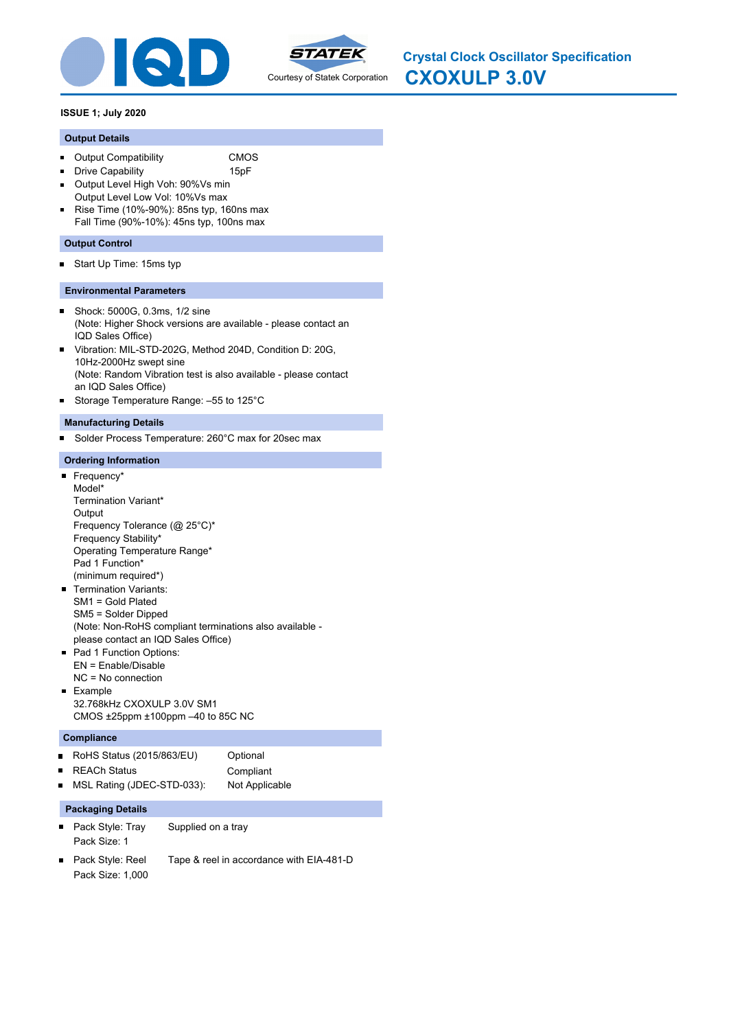



# **ISSUE 1; July 2020**

# **Output Details**

- Output Compatibility CMOS  $\blacksquare$
- **Drive Capability** 15pF
- Output Level High Voh: 90%Vs min  $\blacksquare$
- Output Level Low Vol: 10%Vs max Rise Time (10%-90%): 85ns typ, 160ns max  $\blacksquare$ Fall Time (90%-10%): 45ns typ, 100ns max

# **Output Control**

Start Up Time: 15ms typ  $\blacksquare$ 

# **Environmental Parameters**

- Shock: 5000G, 0.3ms, 1/2 sine  $\blacksquare$ (Note: Higher Shock versions are available - please contact an IQD Sales Office)
- Vibration: MIL-STD-202G, Method 204D, Condition D: 20G,  $\blacksquare$ 10Hz-2000Hz swept sine (Note: Random Vibration test is also available - please contact an IQD Sales Office)
- Storage Temperature Range: –55 to 125°C  $\blacksquare$

# **Manufacturing Details**

Solder Process Temperature: 260°C max for 20sec max  $\blacksquare$ 

# **Ordering Information**

# Frequency\*

- Model\* Termination Variant\* **Output** Frequency Tolerance (@ 25°C)\* Frequency Stability\* Operating Temperature Range\* Pad 1 Function\* (minimum required\*)
- **Termination Variants:** SM1 = Gold Plated SM5 = Solder Dipped (Note: Non-RoHS compliant terminations also available please contact an IQD Sales Office)
- Pad 1 Function Options: EN = Enable/Disable NC = No connection
- **Example** 32.768kHz CXOXULP 3.0V SM1 CMOS ±25ppm ±100ppm –40 to 85C NC

### **Compliance**

| ■ RoHS Status (2015/863/EU)  | Optional       |
|------------------------------|----------------|
| ■ REACh Status               | Compliant      |
| ■ MSL Rating (JDEC-STD-033): | Not Applicable |

- Pack Style: Tray Supplied on a tray Pack Size: 1
- Pack Style: Reel Tape & reel in accordance with EIA-481-D  $\blacksquare$ Pack Size: 1,000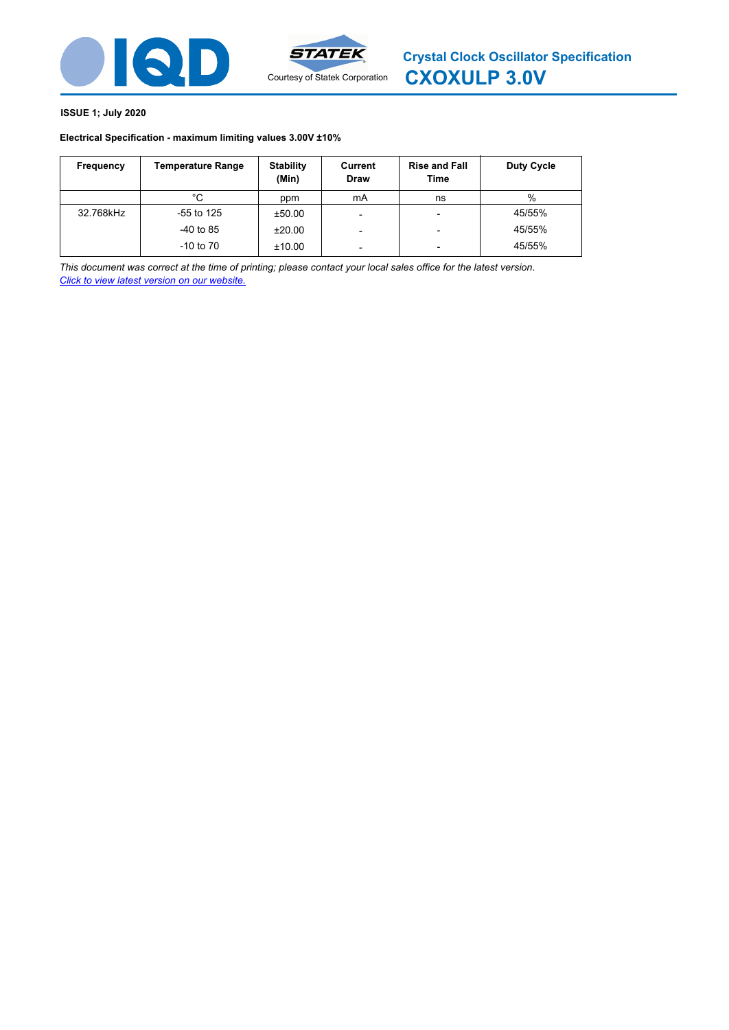



# **ISSUE 1; July 2020**

# **Electrical Specification - maximum limiting values 3.00V ±10%**

| Frequency | <b>Temperature Range</b> | <b>Stability</b><br>(Min) | Current<br><b>Draw</b> | <b>Rise and Fall</b><br>Time | Duty Cycle |
|-----------|--------------------------|---------------------------|------------------------|------------------------------|------------|
|           | °C                       | ppm                       | mA                     | ns                           | %          |
| 32.768kHz | $-55$ to 125             | ±50.00                    | -                      |                              | 45/55%     |
|           | $-40$ to 85              | ±20.00                    |                        | -                            | 45/55%     |
|           | $-10$ to $70$            | ±10.00                    |                        | -                            | 45/55%     |

*This document was correct at the time of printing; please contact your local sales office for the latest version. Click to view latest version on our website.*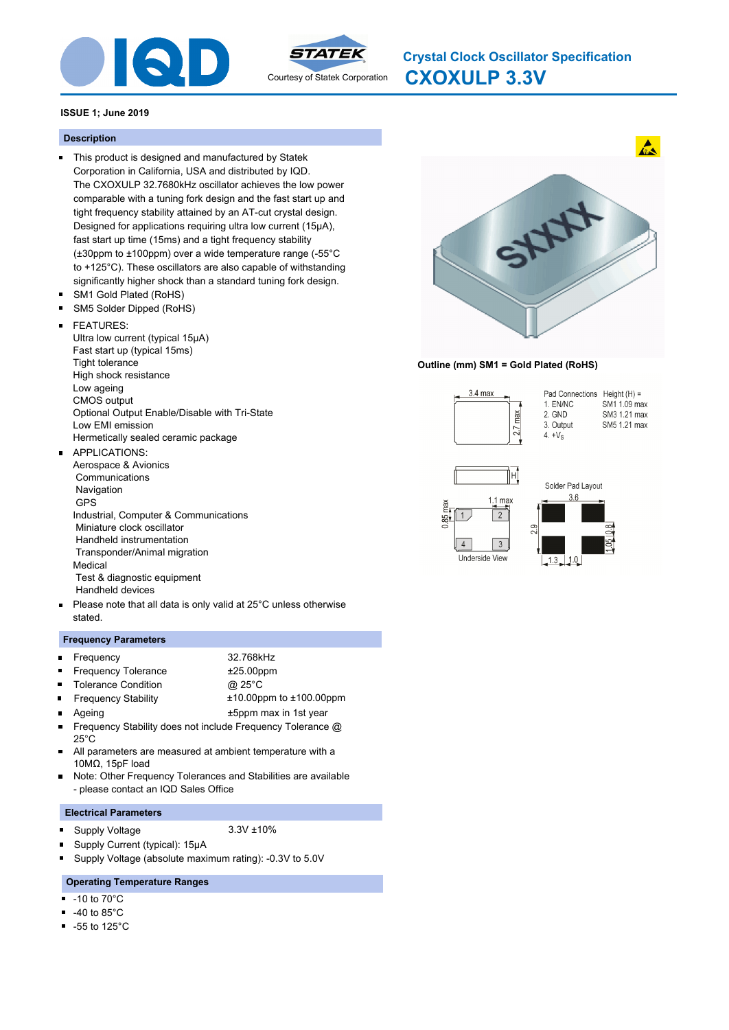



**CXOXULP 3.3V Crystal Clock Oscillator Specification**

# **ISSUE 1; June 2019**

# **Description**

- This product is designed and manufactured by Statek Corporation in California, USA and distributed by IQD. The CXOXULP 32.7680kHz oscillator achieves the low power comparable with a tuning fork design and the fast start up and tight frequency stability attained by an AT-cut crystal design. Designed for applications requiring ultra low current (15µA), fast start up time (15ms) and a tight frequency stability (±30ppm to ±100ppm) over a wide temperature range (-55°C to +125°C). These oscillators are also capable of withstanding significantly higher shock than a standard tuning fork design.
- SM1 Gold Plated (RoHS)  $\blacksquare$
- $\blacksquare$ SM5 Solder Dipped (RoHS)

#### FEATURES:  $\blacksquare$

Ultra low current (typical 15μA) Fast start up (typical 15ms) Tight tolerance High shock resistance Low ageing CMOS output Optional Output Enable/Disable with Tri-State Low EMI emission Hermetically sealed ceramic package

#### APPLICATIONS:  $\blacksquare$

- Aerospace & Avionics **Communications**  Navigation GPS Industrial, Computer & Communications Miniature clock oscillator Handheld instrumentation Transponder/Animal migration Medical Test & diagnostic equipment Handheld devices
- Please note that all data is only valid at 25°C unless otherwise  $\blacksquare$ stated.

# **Frequency Parameters**

| <b>E</b> Frequency         | 32.768kHz    |  |
|----------------------------|--------------|--|
| <b>Frequency Tolerance</b> | $±25.00$ ppm |  |
| ■ Tolerance Condition      | @ 25°C       |  |

- Frequency Stability ±10.00ppm to ±100.00ppm  $\blacksquare$
- Ageing the top of the top of the top of the top of the top of the top of the top of the top of the top of the top of the top of the top of the top of the top of the top of the top of the top of the top of the top of the to
- Frequency Stability does not include Frequency Tolerance @  $\blacksquare$ 25°C
- $\blacksquare$ All parameters are measured at ambient temperature with a 10MΩ, 15pF load
- Note: Other Frequency Tolerances and Stabilities are available  $\blacksquare$ - please contact an IQD Sales Office

# **Electrical Parameters**

- Supply Voltage 3.3V ±10% n,
	-
	- Supply Current (typical): 15μA
- n, Supply Voltage (absolute maximum rating): -0.3V to 5.0V

# **Operating Temperature Ranges**

-10 to 70°C  $\blacksquare$ 

n

- -40 to 85°C
- $\blacksquare$ -55 to 125°C



# **Outline (mm) SM1 = Gold Plated (RoHS)**

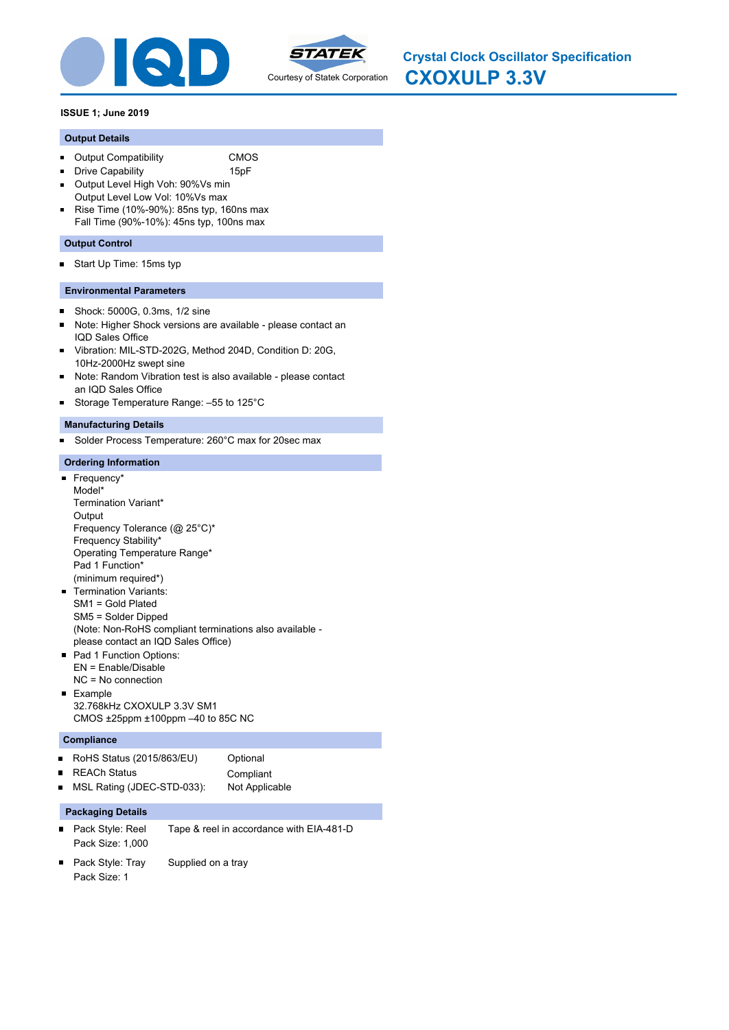



### **Output Details**

 $\blacksquare$ 

- Output Compatibility CMOS  $\blacksquare$ 
	- Drive Capability 15pF
- Output Level High Voh: 90%Vs min  $\blacksquare$
- Output Level Low Vol: 10%Vs max  $\blacksquare$ Rise Time (10%-90%): 85ns typ, 160ns max Fall Time (90%-10%): 45ns typ, 100ns max

### **Output Control**

Start Up Time: 15ms typ  $\blacksquare$ 

### **Environmental Parameters**

- Shock: 5000G, 0.3ms, 1/2 sine  $\blacksquare$
- Note: Higher Shock versions are available please contact an  $\blacksquare$ IQD Sales Office
- Vibration: MIL-STD-202G, Method 204D, Condition D: 20G, 10Hz-2000Hz swept sine
- Note: Random Vibration test is also available please contact an IQD Sales Office
- Storage Temperature Range: –55 to 125°C

### **Manufacturing Details**

Solder Process Temperature: 260°C max for 20sec max  $\blacksquare$ 

### **Ordering Information**

- Frequency\* Model\* Termination Variant\* **Output** Frequency Tolerance (@ 25°C)\* Frequency Stability\* Operating Temperature Range\* Pad 1 Function\* (minimum required\*)
- **Termination Variants:** SM1 = Gold Plated SM5 = Solder Dipped (Note: Non-RoHS compliant terminations also available please contact an IQD Sales Office)
- Pad 1 Function Options: EN = Enable/Disable NC = No connection
- **Example** 32.768kHz CXOXULP 3.3V SM1 CMOS ±25ppm ±100ppm –40 to 85C NC

# **Compliance**

| ■ RoHS Status (2015/863/EU)  | Optional       |
|------------------------------|----------------|
| ■ REACh Status               | Compliant      |
| ■ MSL Rating (JDEC-STD-033): | Not Applicable |

- Pack Style: Reel Tape & reel in accordance with EIA-481-D Pack Size: 1,000
- Pack Style: Tray Supplied on a tray  $\blacksquare$ Pack Size: 1